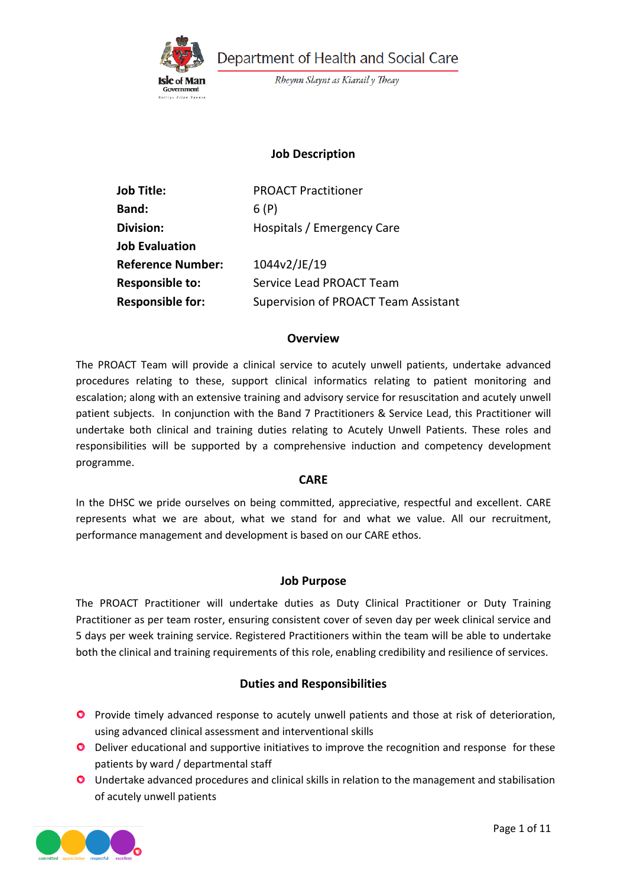

Department of Health and Social Care

Rheynn Slaynt as Kiarail y Theay

### **Job Description**

| <b>Job Title:</b>        | <b>PROACT Practitioner</b>           |  |
|--------------------------|--------------------------------------|--|
| <b>Band:</b>             | 6(P)                                 |  |
| <b>Division:</b>         | Hospitals / Emergency Care           |  |
| <b>Job Evaluation</b>    |                                      |  |
| <b>Reference Number:</b> | 1044v2/JE/19                         |  |
| <b>Responsible to:</b>   | Service Lead PROACT Team             |  |
| <b>Responsible for:</b>  | Supervision of PROACT Team Assistant |  |

#### **Overview**

The PROACT Team will provide a clinical service to acutely unwell patients, undertake advanced procedures relating to these, support clinical informatics relating to patient monitoring and escalation; along with an extensive training and advisory service for resuscitation and acutely unwell patient subjects. In conjunction with the Band 7 Practitioners & Service Lead, this Practitioner will undertake both clinical and training duties relating to Acutely Unwell Patients. These roles and responsibilities will be supported by a comprehensive induction and competency development programme.

#### **CARE**

In the DHSC we pride ourselves on being committed, appreciative, respectful and excellent. CARE represents what we are about, what we stand for and what we value. All our recruitment, performance management and development is based on our CARE ethos.

### **Job Purpose**

The PROACT Practitioner will undertake duties as Duty Clinical Practitioner or Duty Training Practitioner as per team roster, ensuring consistent cover of seven day per week clinical service and 5 days per week training service. Registered Practitioners within the team will be able to undertake both the clinical and training requirements of this role, enabling credibility and resilience of services.

### **Duties and Responsibilities**

- **O** Provide timely advanced response to acutely unwell patients and those at risk of deterioration, using advanced clinical assessment and interventional skills
- **O** Deliver educational and supportive initiatives to improve the recognition and response for these patients by ward / departmental staff
- Undertake advanced procedures and clinical skills in relation to the management and stabilisation of acutely unwell patients

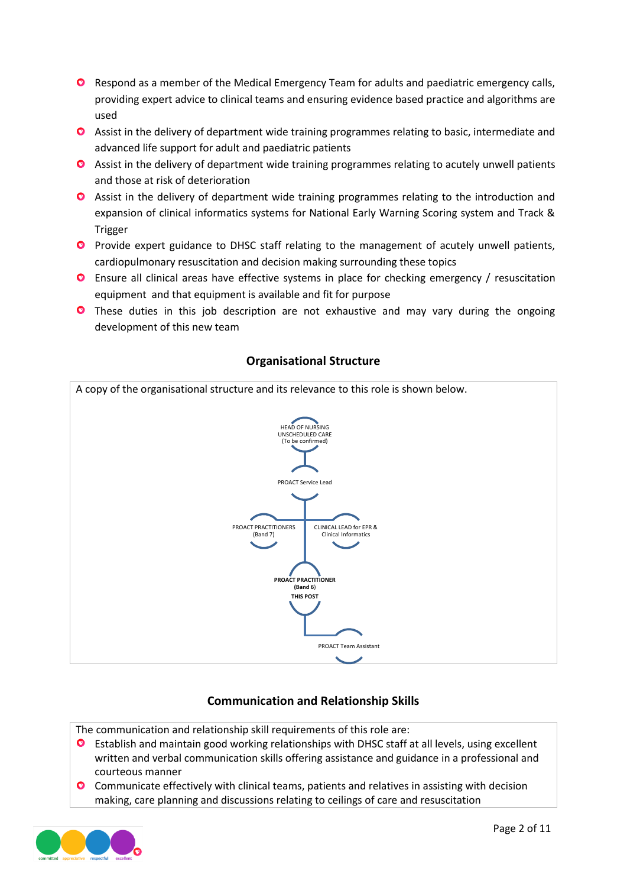- **O** Respond as a member of the Medical Emergency Team for adults and paediatric emergency calls, providing expert advice to clinical teams and ensuring evidence based practice and algorithms are used
- Assist in the delivery of department wide training programmes relating to basic, intermediate and advanced life support for adult and paediatric patients
- Assist in the delivery of department wide training programmes relating to acutely unwell patients and those at risk of deterioration
- **O** Assist in the delivery of department wide training programmes relating to the introduction and expansion of clinical informatics systems for National Early Warning Scoring system and Track & Trigger
- **P** Provide expert guidance to DHSC staff relating to the management of acutely unwell patients, cardiopulmonary resuscitation and decision making surrounding these topics
- Ensure all clinical areas have effective systems in place for checking emergency / resuscitation equipment and that equipment is available and fit for purpose
- **O** These duties in this job description are not exhaustive and may vary during the ongoing development of this new team



# **Organisational Structure**

# **Communication and Relationship Skills**

The communication and relationship skill requirements of this role are:

- **O** Establish and maintain good working relationships with DHSC staff at all levels, using excellent written and verbal communication skills offering assistance and guidance in a professional and courteous manner
- **O** Communicate effectively with clinical teams, patients and relatives in assisting with decision making, care planning and discussions relating to ceilings of care and resuscitation

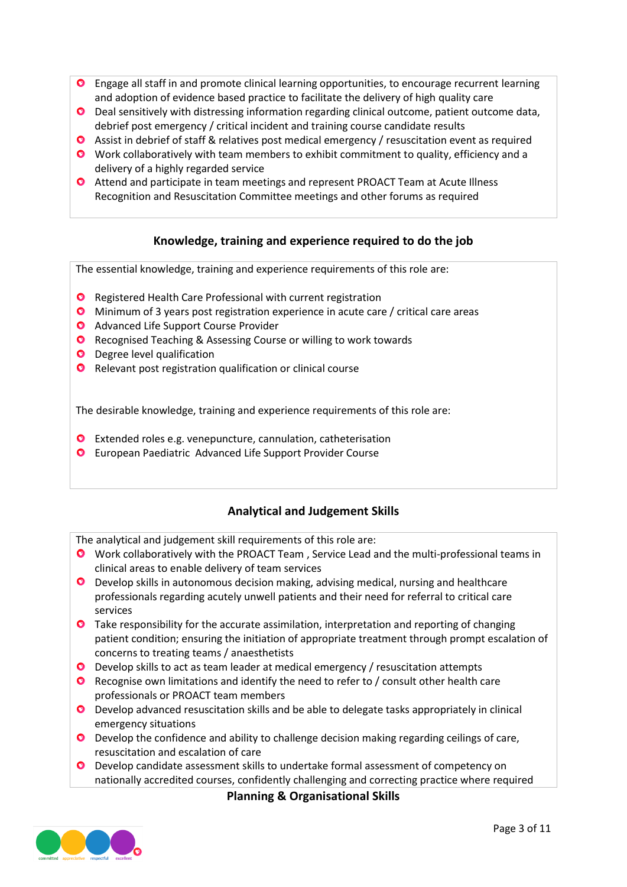- **O** Engage all staff in and promote clinical learning opportunities, to encourage recurrent learning and adoption of evidence based practice to facilitate the delivery of high quality care
- Deal sensitively with distressing information regarding clinical outcome, patient outcome data, debrief post emergency / critical incident and training course candidate results
- Assist in debrief of staff & relatives post medical emergency / resuscitation event as required
- Work collaboratively with team members to exhibit commitment to quality, efficiency and a delivery of a highly regarded service
- **O** Attend and participate in team meetings and represent PROACT Team at Acute Illness Recognition and Resuscitation Committee meetings and other forums as required

## **Knowledge, training and experience required to do the job**

The essential knowledge, training and experience requirements of this role are:

- **O** Registered Health Care Professional with current registration
- Minimum of 3 years post registration experience in acute care / critical care areas
- **O** Advanced Life Support Course Provider
- **O** Recognised Teaching & Assessing Course or willing to work towards
- **O** Degree level qualification
- **O** Relevant post registration qualification or clinical course

The desirable knowledge, training and experience requirements of this role are:

- Extended roles e.g. venepuncture, cannulation, catheterisation
- European Paediatric Advanced Life Support Provider Course

## **Analytical and Judgement Skills**

The analytical and judgement skill requirements of this role are:

- Work collaboratively with the PROACT Team , Service Lead and the multi-professional teams in clinical areas to enable delivery of team services
- Develop skills in autonomous decision making, advising medical, nursing and healthcare professionals regarding acutely unwell patients and their need for referral to critical care services
- **O** Take responsibility for the accurate assimilation, interpretation and reporting of changing patient condition; ensuring the initiation of appropriate treatment through prompt escalation of concerns to treating teams / anaesthetists
- Develop skills to act as team leader at medical emergency / resuscitation attempts
- **O** Recognise own limitations and identify the need to refer to / consult other health care professionals or PROACT team members
- Develop advanced resuscitation skills and be able to delegate tasks appropriately in clinical emergency situations
- Develop the confidence and ability to challenge decision making regarding ceilings of care, resuscitation and escalation of care
- Develop candidate assessment skills to undertake formal assessment of competency on nationally accredited courses, confidently challenging and correcting practice where required

**Planning & Organisational Skills**

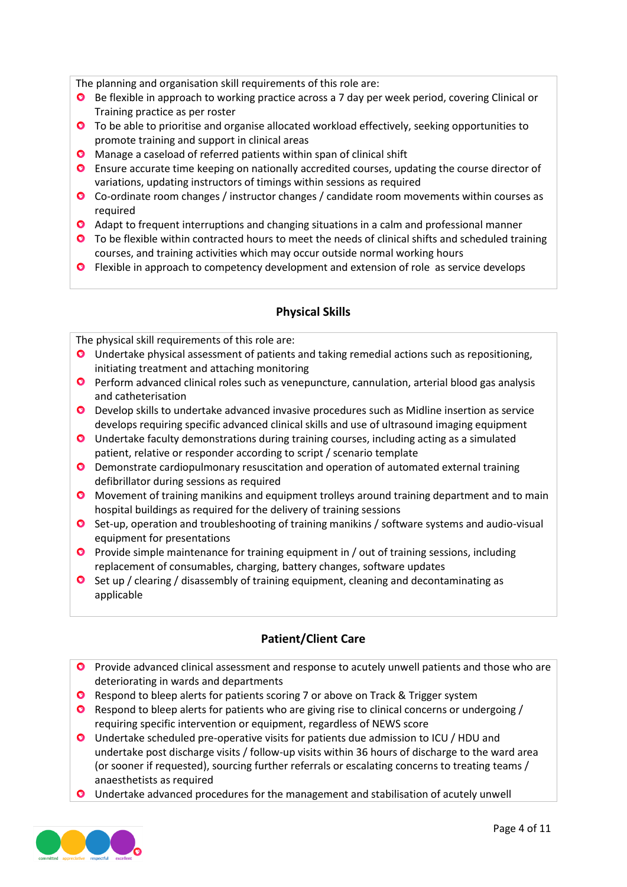The planning and organisation skill requirements of this role are:

- **O** Be flexible in approach to working practice across a 7 day per week period, covering Clinical or Training practice as per roster
- **O** To be able to prioritise and organise allocated workload effectively, seeking opportunities to promote training and support in clinical areas
- **O** Manage a caseload of referred patients within span of clinical shift
- Ensure accurate time keeping on nationally accredited courses, updating the course director of variations, updating instructors of timings within sessions as required
- Co-ordinate room changes / instructor changes / candidate room movements within courses as required
- Adapt to frequent interruptions and changing situations in a calm and professional manner
- **O** To be flexible within contracted hours to meet the needs of clinical shifts and scheduled training courses, and training activities which may occur outside normal working hours
- **O** Flexible in approach to competency development and extension of role as service develops

### **Physical Skills**

The physical skill requirements of this role are:

- Undertake physical assessment of patients and taking remedial actions such as repositioning, initiating treatment and attaching monitoring
- **Perform advanced clinical roles such as venepuncture, cannulation, arterial blood gas analysis** and catheterisation
- Develop skills to undertake advanced invasive procedures such as Midline insertion as service develops requiring specific advanced clinical skills and use of ultrasound imaging equipment
- Undertake faculty demonstrations during training courses, including acting as a simulated patient, relative or responder according to script / scenario template
- Demonstrate cardiopulmonary resuscitation and operation of automated external training defibrillator during sessions as required
- **O** Movement of training manikins and equipment trolleys around training department and to main hospital buildings as required for the delivery of training sessions
- **O** Set-up, operation and troubleshooting of training manikins / software systems and audio-visual equipment for presentations
- **Provide simple maintenance for training equipment in / out of training sessions, including** replacement of consumables, charging, battery changes, software updates
- **O** Set up / clearing / disassembly of training equipment, cleaning and decontaminating as applicable

## **Patient/Client Care**

- **P** Provide advanced clinical assessment and response to acutely unwell patients and those who are deteriorating in wards and departments
- **Q** Respond to bleep alerts for patients scoring 7 or above on Track & Trigger system
- **O** Respond to bleep alerts for patients who are giving rise to clinical concerns or undergoing / requiring specific intervention or equipment, regardless of NEWS score
- Undertake scheduled pre-operative visits for patients due admission to ICU / HDU and undertake post discharge visits / follow-up visits within 36 hours of discharge to the ward area (or sooner if requested), sourcing further referrals or escalating concerns to treating teams / anaesthetists as required
- **O** Undertake advanced procedures for the management and stabilisation of acutely unwell

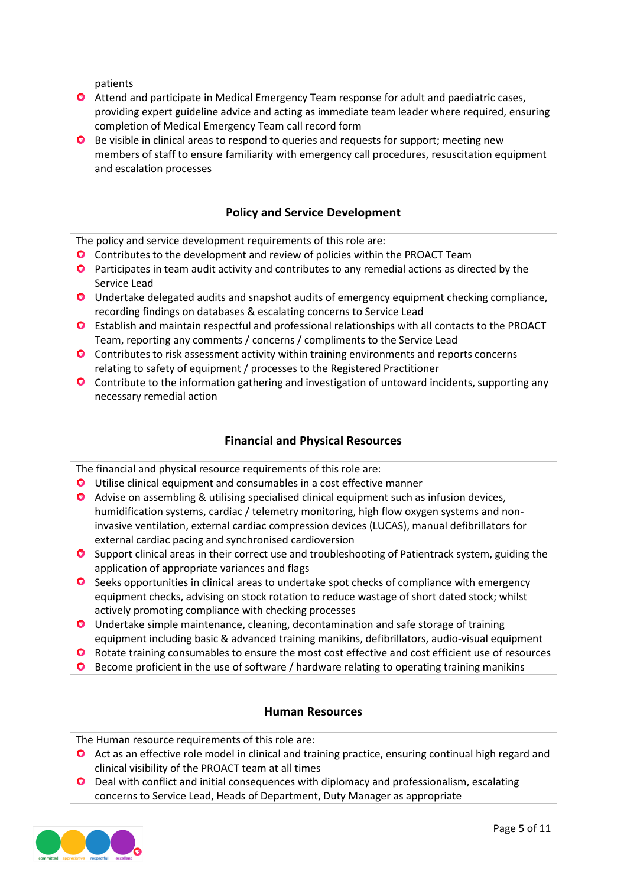patients

- Attend and participate in Medical Emergency Team response for adult and paediatric cases, providing expert guideline advice and acting as immediate team leader where required, ensuring completion of Medical Emergency Team call record form
- **O** Be visible in clinical areas to respond to queries and requests for support; meeting new members of staff to ensure familiarity with emergency call procedures, resuscitation equipment and escalation processes

### **Policy and Service Development**

The policy and service development requirements of this role are:

- Contributes to the development and review of policies within the PROACT Team
- **O** Participates in team audit activity and contributes to any remedial actions as directed by the Service Lead
- Undertake delegated audits and snapshot audits of emergency equipment checking compliance, recording findings on databases & escalating concerns to Service Lead
- Establish and maintain respectful and professional relationships with all contacts to the PROACT Team, reporting any comments / concerns / compliments to the Service Lead
- Contributes to risk assessment activity within training environments and reports concerns relating to safety of equipment / processes to the Registered Practitioner
- **O** Contribute to the information gathering and investigation of untoward incidents, supporting any necessary remedial action

### **Financial and Physical Resources**

The financial and physical resource requirements of this role are:

- Utilise clinical equipment and consumables in a cost effective manner
- Advise on assembling & utilising specialised clinical equipment such as infusion devices, humidification systems, cardiac / telemetry monitoring, high flow oxygen systems and noninvasive ventilation, external cardiac compression devices (LUCAS), manual defibrillators for external cardiac pacing and synchronised cardioversion
- **O** Support clinical areas in their correct use and troubleshooting of Patientrack system, guiding the application of appropriate variances and flags
- **O** Seeks opportunities in clinical areas to undertake spot checks of compliance with emergency equipment checks, advising on stock rotation to reduce wastage of short dated stock; whilst actively promoting compliance with checking processes
- Undertake simple maintenance, cleaning, decontamination and safe storage of training equipment including basic & advanced training manikins, defibrillators, audio-visual equipment
- **O** Rotate training consumables to ensure the most cost effective and cost efficient use of resources
- **O** Become proficient in the use of software / hardware relating to operating training manikins

#### **Human Resources**

The Human resource requirements of this role are:

- **O** Act as an effective role model in clinical and training practice, ensuring continual high regard and clinical visibility of the PROACT team at all times
- Deal with conflict and initial consequences with diplomacy and professionalism, escalating concerns to Service Lead, Heads of Department, Duty Manager as appropriate

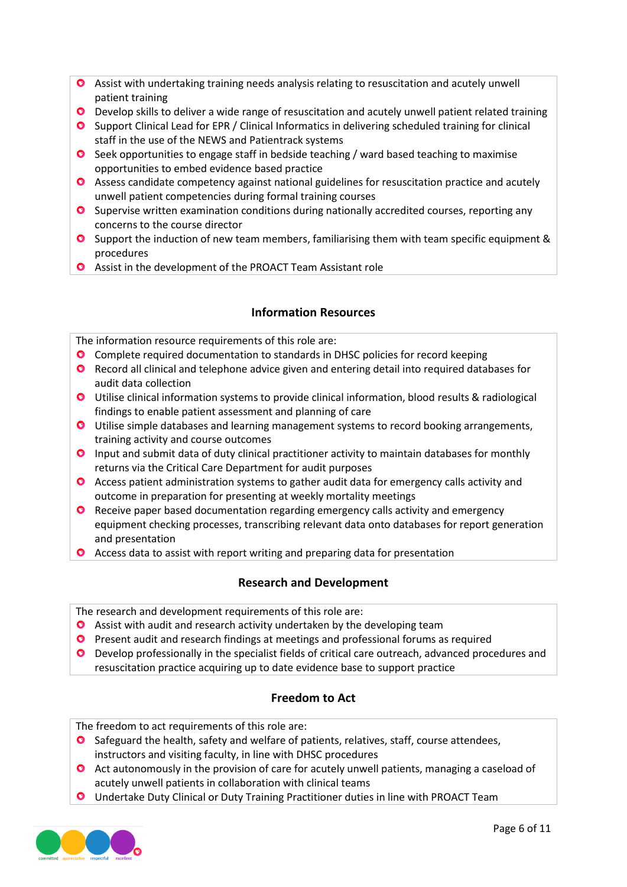- Assist with undertaking training needs analysis relating to resuscitation and acutely unwell patient training
- O Develop skills to deliver a wide range of resuscitation and acutely unwell patient related training
- Support Clinical Lead for EPR / Clinical Informatics in delivering scheduled training for clinical staff in the use of the NEWS and Patientrack systems
- **O** Seek opportunities to engage staff in bedside teaching / ward based teaching to maximise opportunities to embed evidence based practice
- Assess candidate competency against national guidelines for resuscitation practice and acutely unwell patient competencies during formal training courses
- **O** Supervise written examination conditions during nationally accredited courses, reporting any concerns to the course director
- **O** Support the induction of new team members, familiarising them with team specific equipment & procedures
- Assist in the development of the PROACT Team Assistant role

### **Information Resources**

The information resource requirements of this role are:

- Complete required documentation to standards in DHSC policies for record keeping
- **O** Record all clinical and telephone advice given and entering detail into required databases for audit data collection
- Utilise clinical information systems to provide clinical information, blood results & radiological findings to enable patient assessment and planning of care
- **O** Utilise simple databases and learning management systems to record booking arrangements, training activity and course outcomes
- **O** Input and submit data of duty clinical practitioner activity to maintain databases for monthly returns via the Critical Care Department for audit purposes
- **O** Access patient administration systems to gather audit data for emergency calls activity and outcome in preparation for presenting at weekly mortality meetings
- **O** Receive paper based documentation regarding emergency calls activity and emergency equipment checking processes, transcribing relevant data onto databases for report generation and presentation
- **O** Access data to assist with report writing and preparing data for presentation

### **Research and Development**

The research and development requirements of this role are:

- **O** Assist with audit and research activity undertaken by the developing team
- **O** Present audit and research findings at meetings and professional forums as required
- **O** Develop professionally in the specialist fields of critical care outreach, advanced procedures and resuscitation practice acquiring up to date evidence base to support practice

### **Freedom to Act**

The freedom to act requirements of this role are:

- **O** Safeguard the health, safety and welfare of patients, relatives, staff, course attendees, instructors and visiting faculty, in line with DHSC procedures
- **O** Act autonomously in the provision of care for acutely unwell patients, managing a caseload of acutely unwell patients in collaboration with clinical teams
- Undertake Duty Clinical or Duty Training Practitioner duties in line with PROACT Team

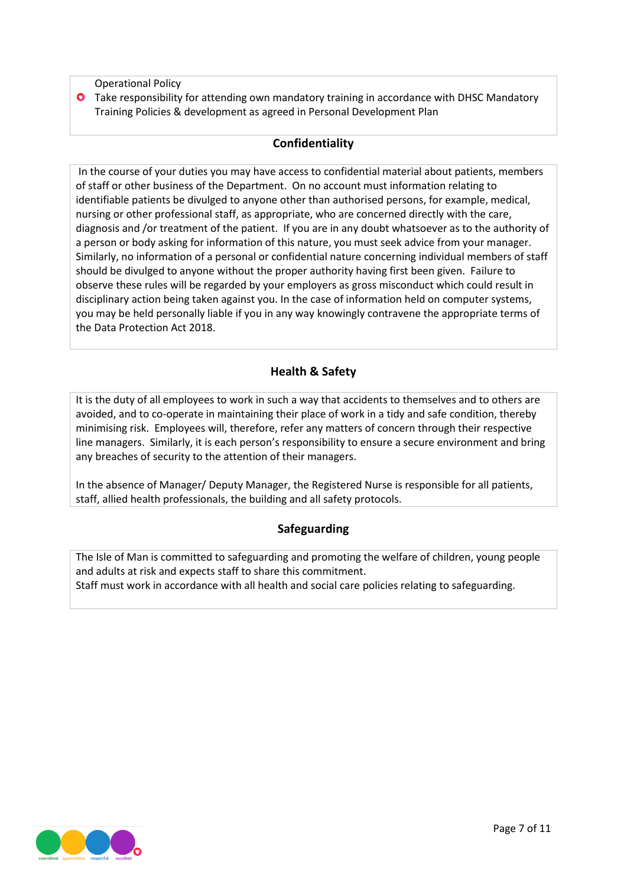Operational Policy

**O** Take responsibility for attending own mandatory training in accordance with DHSC Mandatory Training Policies & development as agreed in Personal Development Plan

### **Confidentiality**

In the course of your duties you may have access to confidential material about patients, members of staff or other business of the Department. On no account must information relating to identifiable patients be divulged to anyone other than authorised persons, for example, medical, nursing or other professional staff, as appropriate, who are concerned directly with the care, diagnosis and /or treatment of the patient. If you are in any doubt whatsoever as to the authority of a person or body asking for information of this nature, you must seek advice from your manager. Similarly, no information of a personal or confidential nature concerning individual members of staff should be divulged to anyone without the proper authority having first been given. Failure to observe these rules will be regarded by your employers as gross misconduct which could result in disciplinary action being taken against you. In the case of information held on computer systems, you may be held personally liable if you in any way knowingly contravene the appropriate terms of the Data Protection Act 2018.

## **Health & Safety**

It is the duty of all employees to work in such a way that accidents to themselves and to others are avoided, and to co-operate in maintaining their place of work in a tidy and safe condition, thereby minimising risk. Employees will, therefore, refer any matters of concern through their respective line managers. Similarly, it is each person's responsibility to ensure a secure environment and bring any breaches of security to the attention of their managers.

In the absence of Manager/ Deputy Manager, the Registered Nurse is responsible for all patients, staff, allied health professionals, the building and all safety protocols.

## **Safeguarding**

The Isle of Man is committed to safeguarding and promoting the welfare of children, young people and adults at risk and expects staff to share this commitment. Staff must work in accordance with all health and social care policies relating to safeguarding.

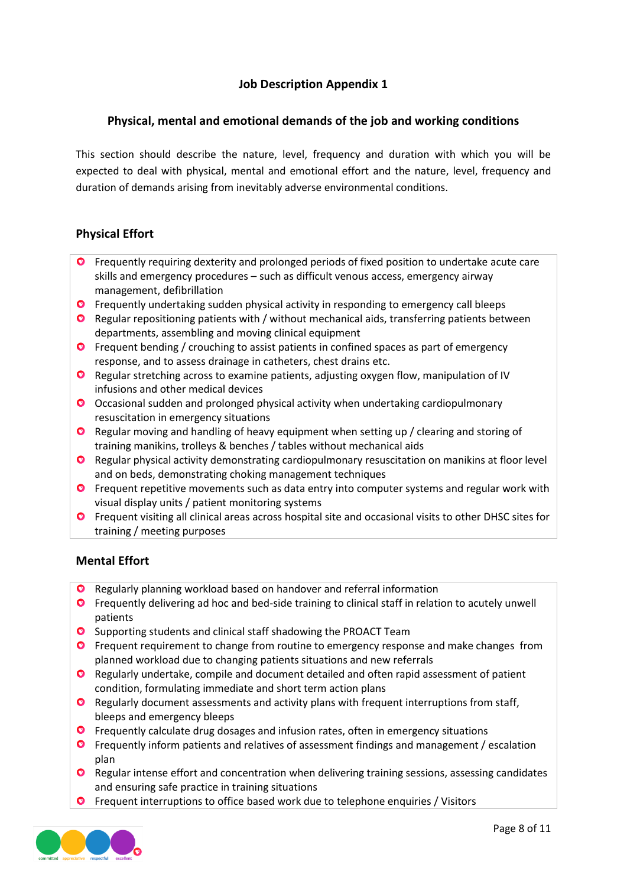## **Job Description Appendix 1**

### **Physical, mental and emotional demands of the job and working conditions**

This section should describe the nature, level, frequency and duration with which you will be expected to deal with physical, mental and emotional effort and the nature, level, frequency and duration of demands arising from inevitably adverse environmental conditions.

## **Physical Effort**

- **O** Frequently requiring dexterity and prolonged periods of fixed position to undertake acute care skills and emergency procedures – such as difficult venous access, emergency airway management, defibrillation
- **O** Frequently undertaking sudden physical activity in responding to emergency call bleeps
- **O** Regular repositioning patients with / without mechanical aids, transferring patients between departments, assembling and moving clinical equipment
- **O** Frequent bending / crouching to assist patients in confined spaces as part of emergency response, and to assess drainage in catheters, chest drains etc.
- Regular stretching across to examine patients, adjusting oxygen flow, manipulation of IV infusions and other medical devices
- Occasional sudden and prolonged physical activity when undertaking cardiopulmonary resuscitation in emergency situations
- **O** Regular moving and handling of heavy equipment when setting up / clearing and storing of training manikins, trolleys & benches / tables without mechanical aids
- **O** Regular physical activity demonstrating cardiopulmonary resuscitation on manikins at floor level and on beds, demonstrating choking management techniques
- **O** Frequent repetitive movements such as data entry into computer systems and regular work with visual display units / patient monitoring systems
- **O** Frequent visiting all clinical areas across hospital site and occasional visits to other DHSC sites for training / meeting purposes

### **Mental Effort**

- **O** Regularly planning workload based on handover and referral information
- **O** Frequently delivering ad hoc and bed-side training to clinical staff in relation to acutely unwell patients
- **O** Supporting students and clinical staff shadowing the PROACT Team
- **O** Frequent requirement to change from routine to emergency response and make changes from planned workload due to changing patients situations and new referrals
- **O** Regularly undertake, compile and document detailed and often rapid assessment of patient condition, formulating immediate and short term action plans
- **O** Regularly document assessments and activity plans with frequent interruptions from staff, bleeps and emergency bleeps
- **O** Frequently calculate drug dosages and infusion rates, often in emergency situations
- **O** Frequently inform patients and relatives of assessment findings and management / escalation plan
- **O** Regular intense effort and concentration when delivering training sessions, assessing candidates and ensuring safe practice in training situations
- **O** Frequent interruptions to office based work due to telephone enquiries / Visitors

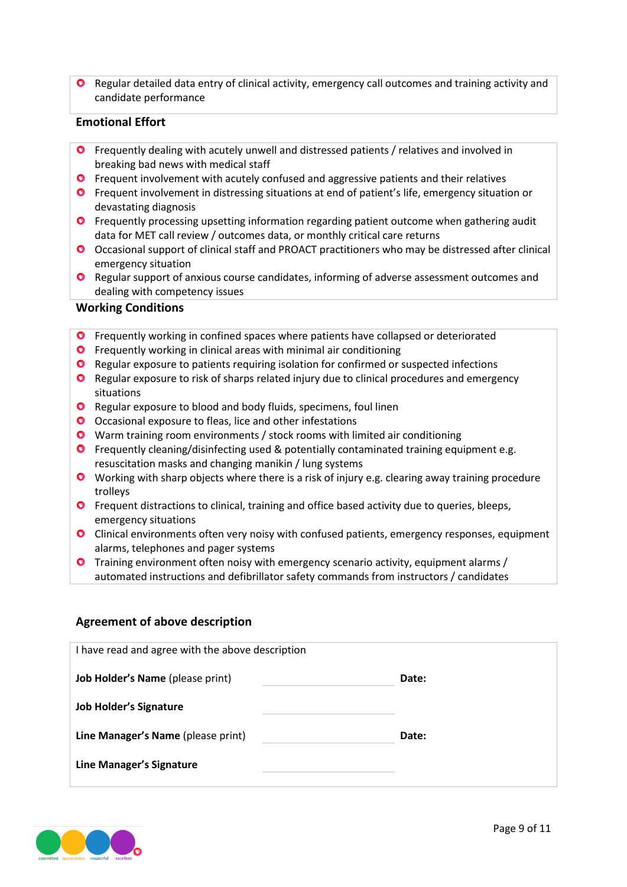**O** Regular detailed data entry of clinical activity, emergency call outcomes and training activity and candidate performance

#### **Emotional Effort**

- **O** Frequently dealing with acutely unwell and distressed patients / relatives and involved in breaking bad news with medical staff
- **O** Frequent involvement with acutely confused and aggressive patients and their relatives
- **O** Frequent involvement in distressing situations at end of patient's life, emergency situation or devastating diagnosis
- **O** Frequently processing upsetting information regarding patient outcome when gathering audit data for MET call review / outcomes data, or monthly critical care returns
- Occasional support of clinical staff and PROACT practitioners who may be distressed after clinical emergency situation
- **O** Regular support of anxious course candidates, informing of adverse assessment outcomes and dealing with competency issues

#### **Working Conditions**

- **O** Frequently working in confined spaces where patients have collapsed or deteriorated
- **O** Frequently working in clinical areas with minimal air conditioning
- **O** Regular exposure to patients requiring isolation for confirmed or suspected infections
- **O** Regular exposure to risk of sharps related injury due to clinical procedures and emergency situations
- **O** Regular exposure to blood and body fluids, specimens, foul linen
- O Occasional exposure to fleas, lice and other infestations
- Warm training room environments / stock rooms with limited air conditioning
- Frequently cleaning/disinfecting used & potentially contaminated training equipment e.g. resuscitation masks and changing manikin / lung systems
- **O** Working with sharp objects where there is a risk of injury e.g. clearing away training procedure trolleys
- **O** Frequent distractions to clinical, training and office based activity due to queries, bleeps, emergency situations
- Clinical environments often very noisy with confused patients, emergency responses, equipment alarms, telephones and pager systems
- Training environment often noisy with emergency scenario activity, equipment alarms / automated instructions and defibrillator safety commands from instructors / candidates

### **Agreement of above description**

| I have read and agree with the above description |       |  |  |  |  |
|--------------------------------------------------|-------|--|--|--|--|
| Job Holder's Name (please print)                 | Date: |  |  |  |  |
| <b>Job Holder's Signature</b>                    |       |  |  |  |  |
| Line Manager's Name (please print)               | Date: |  |  |  |  |
| Line Manager's Signature                         |       |  |  |  |  |

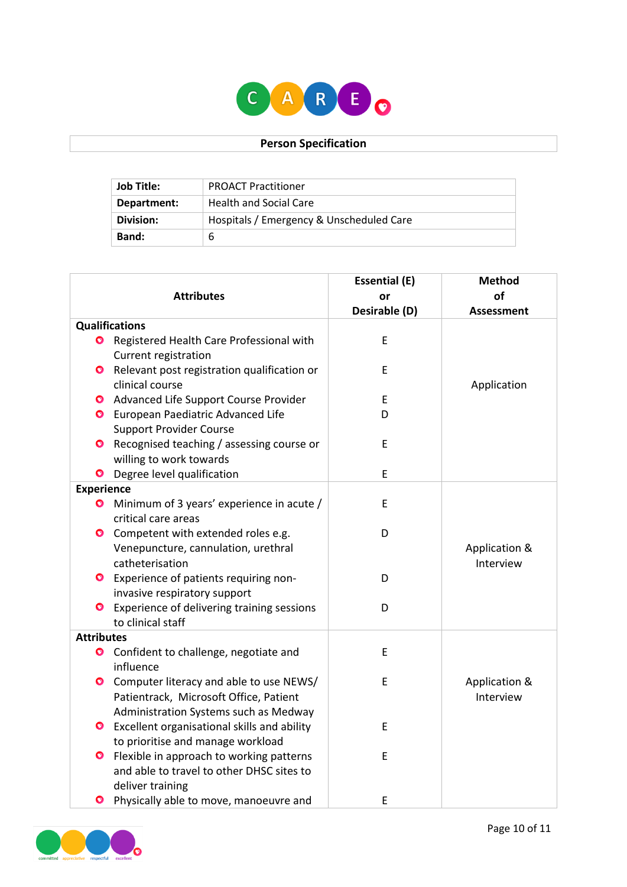

### **Person Specification**

| Job Title:   | <b>PROACT Practitioner</b>               |
|--------------|------------------------------------------|
| Department:  | <b>Health and Social Care</b>            |
| Division:    | Hospitals / Emergency & Unscheduled Care |
| <b>Band:</b> | b                                        |

|                       |                                                                                                                            | <b>Essential (E)</b> | <b>Method</b>              |
|-----------------------|----------------------------------------------------------------------------------------------------------------------------|----------------------|----------------------------|
| <b>Attributes</b>     |                                                                                                                            | or                   | οf                         |
|                       |                                                                                                                            | Desirable (D)        | <b>Assessment</b>          |
| <b>Qualifications</b> |                                                                                                                            |                      |                            |
| $\bullet$             | Registered Health Care Professional with<br>Current registration                                                           | E                    |                            |
|                       | <b>O</b> Relevant post registration qualification or<br>clinical course                                                    | E                    | Application                |
|                       | Advanced Life Support Course Provider                                                                                      | E                    |                            |
|                       | <b>O</b> European Paediatric Advanced Life                                                                                 | D                    |                            |
|                       | <b>Support Provider Course</b><br><b>O</b> Recognised teaching / assessing course or<br>willing to work towards            | E                    |                            |
| O                     | Degree level qualification                                                                                                 | E                    |                            |
| <b>Experience</b>     |                                                                                                                            |                      |                            |
| $\bullet$             | Minimum of 3 years' experience in acute /<br>critical care areas                                                           | E                    |                            |
| $\bullet$             | Competent with extended roles e.g.<br>Venepuncture, cannulation, urethral<br>catheterisation                               | D                    | Application &<br>Interview |
|                       | <b>O</b> Experience of patients requiring non-<br>invasive respiratory support                                             | D                    |                            |
| O                     | Experience of delivering training sessions<br>to clinical staff                                                            | D                    |                            |
| <b>Attributes</b>     |                                                                                                                            |                      |                            |
| $\bullet$             | Confident to challenge, negotiate and<br>influence                                                                         | E                    |                            |
| $\bullet$             | Computer literacy and able to use NEWS/<br>Patientrack, Microsoft Office, Patient<br>Administration Systems such as Medway | E                    | Application &<br>Interview |
|                       | <b>O</b> Excellent organisational skills and ability<br>to prioritise and manage workload                                  | E                    |                            |
| $\bullet$             | Flexible in approach to working patterns<br>and able to travel to other DHSC sites to<br>deliver training                  | $\mathsf E$          |                            |
| $\bullet$             | Physically able to move, manoeuvre and                                                                                     | E                    |                            |